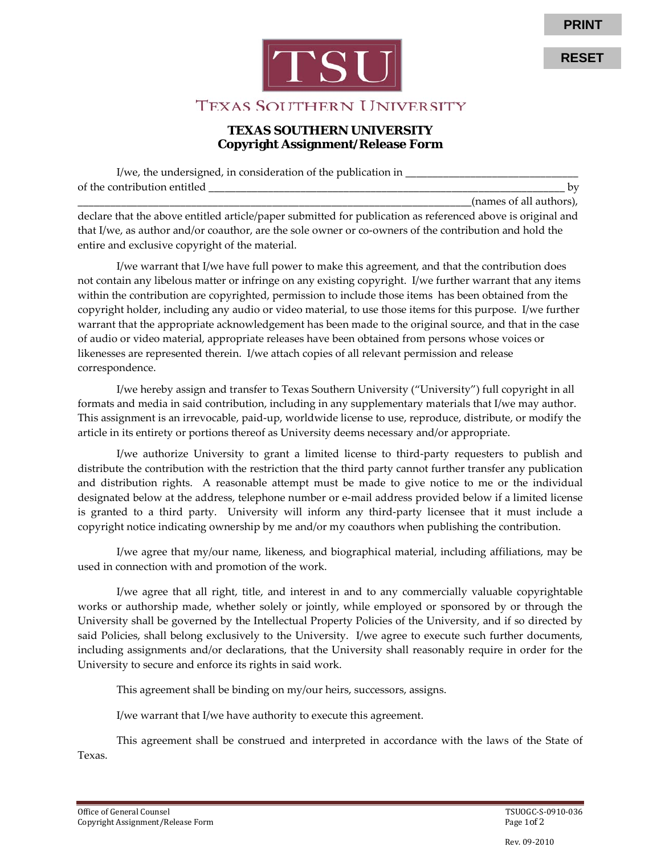

**RESET**



## TEXAS SOUTHERN UNIVERSITY

## **TEXAS SOUTHERN UNIVERSITY Copyright Assignment/Release Form**

| I/we, the undersigned, in consideration of the publication in |                         |
|---------------------------------------------------------------|-------------------------|
| of the contribution entitled                                  | hv                      |
|                                                               | (names of all authors). |

declare that the above entitled article/paper submitted for publication as referenced above is original and that I/we, as author and/or coauthor, are the sole owner or co-owners of the contribution and hold the entire and exclusive copyright of the material.

I/we warrant that I/we have full power to make this agreement, and that the contribution does not contain any libelous matter or infringe on any existing copyright. I/we further warrant that any items within the contribution are copyrighted, permission to include those items has been obtained from the copyright holder, including any audio or video material, to use those items for this purpose. I/we further warrant that the appropriate acknowledgement has been made to the original source, and that in the case of audio or video material, appropriate releases have been obtained from persons whose voices or likenesses are represented therein. I/we attach copies of all relevant permission and release correspondence.

I/we hereby assign and transfer to Texas Southern University ("University") full copyright in all formats and media in said contribution, including in any supplementary materials that I/we may author. This assignment is an irrevocable, paid-up, worldwide license to use, reproduce, distribute, or modify the article in its entirety or portions thereof as University deems necessary and/or appropriate.

I/we authorize University to grant a limited license to third-party requesters to publish and distribute the contribution with the restriction that the third party cannot further transfer any publication and distribution rights. A reasonable attempt must be made to give notice to me or the individual designated below at the address, telephone number or e-mail address provided below if a limited license is granted to a third party. University will inform any third-party licensee that it must include a copyright notice indicating ownership by me and/or my coauthors when publishing the contribution.

I/we agree that my/our name, likeness, and biographical material, including affiliations, may be used in connection with and promotion of the work.

I/we agree that all right, title, and interest in and to any commercially valuable copyrightable works or authorship made, whether solely or jointly, while employed or sponsored by or through the University shall be governed by the Intellectual Property Policies of the University, and if so directed by said Policies, shall belong exclusively to the University. I/we agree to execute such further documents, including assignments and/or declarations, that the University shall reasonably require in order for the University to secure and enforce its rights in said work.

This agreement shall be binding on my/our heirs, successors, assigns.

I/we warrant that I/we have authority to execute this agreement.

This agreement shall be construed and interpreted in accordance with the laws of the State of Texas.